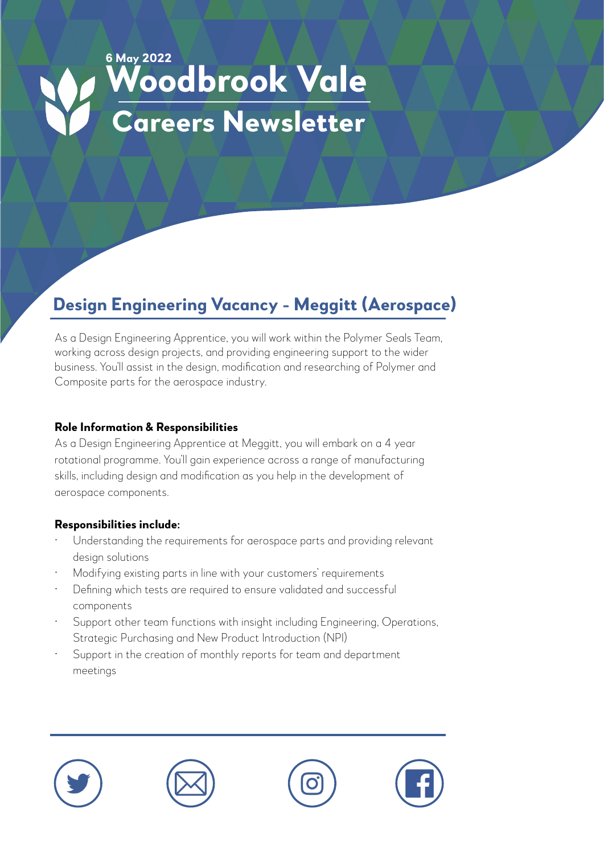# **6 May 2022 Woodbrook Vale Careers Newsletter**

## **Design Engineering Vacancy - Meggitt (Aerospace)**

As a Design Engineering Apprentice, you will work within the Polymer Seals Team, working across design projects, and providing engineering support to the wider business. You'll assist in the design, modification and researching of Polymer and Composite parts for the aerospace industry.

### **Role Information & Responsibilities**

As a Design Engineering Apprentice at Meggitt, you will embark on a 4 year rotational programme. You'll gain experience across a range of manufacturing skills, including design and modification as you help in the development of aerospace components.

#### **Responsibilities include:**

- Understanding the requirements for aerospace parts and providing relevant design solutions
- Modifying existing parts in line with your customers' requirements
- Defining which tests are required to ensure validated and successful components
- Support other team functions with insight including Engineering, Operations, Strategic Purchasing and New Product Introduction (NPI)
- Support in the creation of monthly reports for team and department meetings